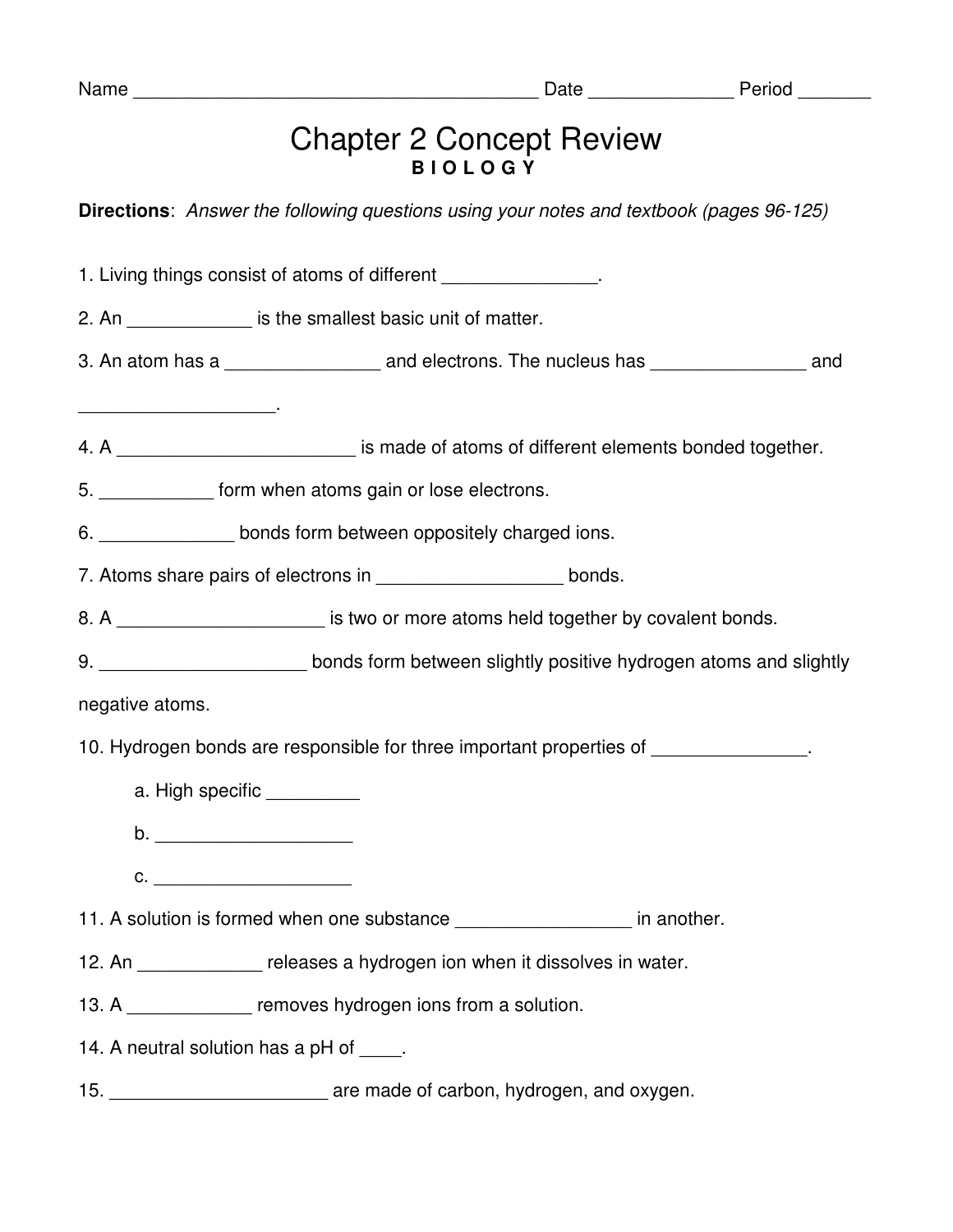| 1<br>r.<br>г. |
|---------------|
|---------------|

## Chapter 2 Concept Review **B I O L O G Y**

**Directions**: Answer the following questions using your notes and textbook (pages 96-125)

1. Living things consist of atoms of different  $\blacksquare$ 2. An  $\qquad \qquad$  is the smallest basic unit of matter. 3. An atom has a \_\_\_\_\_\_\_\_\_\_\_\_\_\_\_\_\_\_\_ and electrons. The nucleus has \_\_\_\_\_\_\_\_\_\_\_\_\_\_\_\_\_\_ and  $\overline{\phantom{a}}$  , where  $\overline{\phantom{a}}$  , where  $\overline{\phantom{a}}$  , where  $\overline{\phantom{a}}$ 4. A \_\_\_\_\_\_\_\_\_\_\_\_\_\_\_\_\_\_\_\_\_\_\_\_\_\_\_\_ is made of atoms of different elements bonded together. 5. \_\_\_\_\_\_\_\_\_\_\_ form when atoms gain or lose electrons. 6. **Example 10 bonds form between oppositely charged ions.** 7. Atoms share pairs of electrons in bonds. 8. A \_\_\_\_\_\_\_\_\_\_\_\_\_\_\_\_\_\_\_\_ is two or more atoms held together by covalent bonds. 9. \_\_\_\_\_\_\_\_\_\_\_\_\_\_\_\_\_\_\_\_\_\_\_\_\_bonds form between slightly positive hydrogen atoms and slightly negative atoms. 10. Hydrogen bonds are responsible for three important properties of a. High specific \_\_\_\_\_\_\_\_\_\_ b. \_\_\_\_\_\_\_\_\_\_\_\_\_\_\_\_\_\_\_ **c.**  $\blacksquare$ 11. A solution is formed when one substance **the end of the set of the set of the set of the set of the set of t** 12. An **the releases a hydrogen ion when it dissolves in water.** 13. A \_\_\_\_\_\_\_\_\_\_\_\_\_ removes hydrogen ions from a solution. 14. A neutral solution has a pH of \_\_\_\_. 15. \_\_\_\_\_\_\_\_\_\_\_\_\_\_\_\_\_\_\_\_\_ are made of carbon, hydrogen, and oxygen.